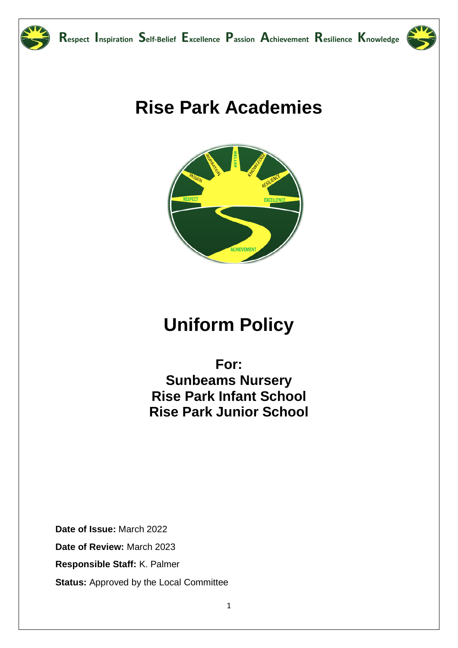



## **Rise Park Academies**



# **Uniform Policy**

For: **Sunbeams Nursery Rise Park Infant School Rise Park Junior School** 

Date of Issue: March 2022 Date of Review: March 2023 Responsible Staff: K. Palmer **Status:** Approved by the Local Committee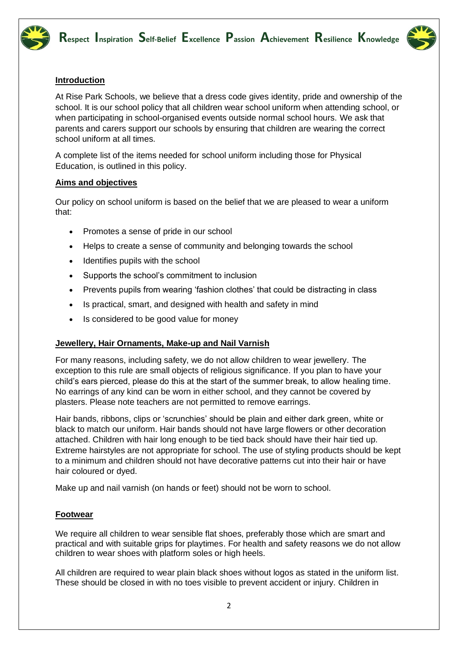



#### **Introduction**

At Rise Park Schools, we believe that a dress code gives identity, pride and ownership of the school. It is our school policy that all children wear school uniform when attending school, or when participating in school-organised events outside normal school hours. We ask that parents and carers support our schools by ensuring that children are wearing the correct school uniform at all times.

A complete list of the items needed for school uniform including those for Physical Education, is outlined in this policy.

#### **Aims and objectives**

Our policy on school uniform is based on the belief that we are pleased to wear a uniform that:

- Promotes a sense of pride in our school
- Helps to create a sense of community and belonging towards the school
- Identifies pupils with the school
- Supports the school's commitment to inclusion
- Prevents pupils from wearing 'fashion clothes' that could be distracting in class
- Is practical, smart, and designed with health and safety in mind
- Is considered to be good value for money

#### **Jewellery, Hair Ornaments, Make-up and Nail Varnish**

For many reasons, including safety, we do not allow children to wear jewellery. The exception to this rule are small objects of religious significance. If you plan to have your child's ears pierced, please do this at the start of the summer break, to allow healing time. No earrings of any kind can be worn in either school, and they cannot be covered by plasters. Please note teachers are not permitted to remove earrings.

Hair bands, ribbons, clips or 'scrunchies' should be plain and either dark green, white or black to match our uniform. Hair bands should not have large flowers or other decoration attached. Children with hair long enough to be tied back should have their hair tied up. Extreme hairstyles are not appropriate for school. The use of styling products should be kept to a minimum and children should not have decorative patterns cut into their hair or have hair coloured or dyed.

Make up and nail varnish (on hands or feet) should not be worn to school.

#### **Footwear**

We require all children to wear sensible flat shoes, preferably those which are smart and practical and with suitable grips for playtimes. For health and safety reasons we do not allow children to wear shoes with platform soles or high heels.

All children are required to wear plain black shoes without logos as stated in the uniform list. These should be closed in with no toes visible to prevent accident or injury. Children in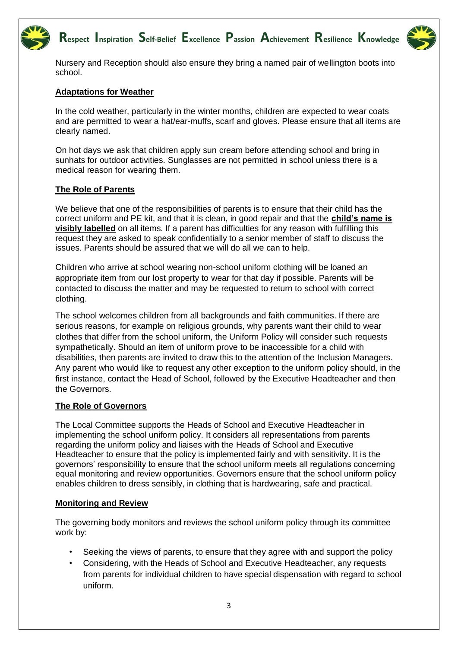### **Respect Inspiration Self-Belief Excellence Passion Achievement Resilience Knowledge**



Nursery and Reception should also ensure they bring a named pair of wellington boots into school.

#### **Adaptations for Weather**

In the cold weather, particularly in the winter months, children are expected to wear coats and are permitted to wear a hat/ear-muffs, scarf and gloves. Please ensure that all items are clearly named.

On hot days we ask that children apply sun cream before attending school and bring in sunhats for outdoor activities. Sunglasses are not permitted in school unless there is a medical reason for wearing them.

#### **The Role of Parents**

We believe that one of the responsibilities of parents is to ensure that their child has the correct uniform and PE kit, and that it is clean, in good repair and that the **child's name is visibly labelled** on all items. If a parent has difficulties for any reason with fulfilling this request they are asked to speak confidentially to a senior member of staff to discuss the issues. Parents should be assured that we will do all we can to help.

Children who arrive at school wearing non-school uniform clothing will be loaned an appropriate item from our lost property to wear for that day if possible. Parents will be contacted to discuss the matter and may be requested to return to school with correct clothing.

The school welcomes children from all backgrounds and faith communities. If there are serious reasons, for example on religious grounds, why parents want their child to wear clothes that differ from the school uniform, the Uniform Policy will consider such requests sympathetically. Should an item of uniform prove to be inaccessible for a child with disabilities, then parents are invited to draw this to the attention of the Inclusion Managers. Any parent who would like to request any other exception to the uniform policy should, in the first instance, contact the Head of School, followed by the Executive Headteacher and then the Governors.

#### **The Role of Governors**

The Local Committee supports the Heads of School and Executive Headteacher in implementing the school uniform policy. It considers all representations from parents regarding the uniform policy and liaises with the Heads of School and Executive Headteacher to ensure that the policy is implemented fairly and with sensitivity. It is the governors' responsibility to ensure that the school uniform meets all regulations concerning equal monitoring and review opportunities. Governors ensure that the school uniform policy enables children to dress sensibly, in clothing that is hardwearing, safe and practical.

#### **Monitoring and Review**

The governing body monitors and reviews the school uniform policy through its committee work by:

- Seeking the views of parents, to ensure that they agree with and support the policy
- Considering, with the Heads of School and Executive Headteacher, any requests from parents for individual children to have special dispensation with regard to school uniform.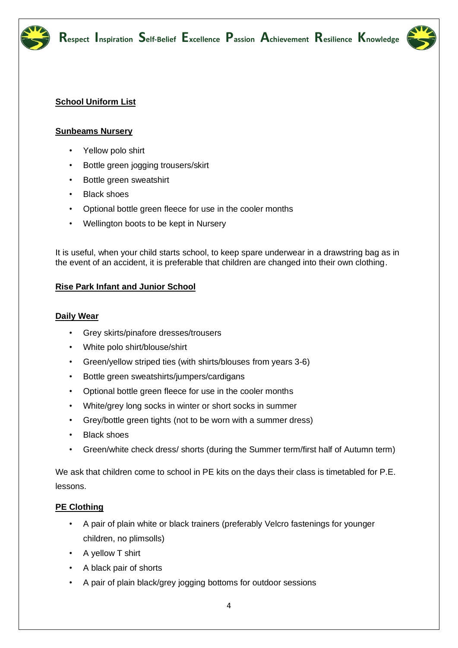



#### **School Uniform List**

#### **Sunbeams Nursery**

- Yellow polo shirt
- Bottle green jogging trousers/skirt
- Bottle green sweatshirt
- **Black shoes**
- Optional bottle green fleece for use in the cooler months
- Wellington boots to be kept in Nursery

It is useful, when your child starts school, to keep spare underwear in a drawstring bag as in the event of an accident, it is preferable that children are changed into their own clothing.

#### **Rise Park Infant and Junior School**

#### **Daily Wear**

- Grey skirts/pinafore dresses/trousers
- White polo shirt/blouse/shirt
- Green/yellow striped ties (with shirts/blouses from years 3-6)
- Bottle green sweatshirts/jumpers/cardigans
- Optional bottle green fleece for use in the cooler months
- White/grey long socks in winter or short socks in summer
- Grey/bottle green tights (not to be worn with a summer dress)
- Black shoes
- Green/white check dress/ shorts (during the Summer term/first half of Autumn term)

We ask that children come to school in PE kits on the days their class is timetabled for P.E. lessons.

#### **PE Clothing**

- A pair of plain white or black trainers (preferably Velcro fastenings for younger children, no plimsolls)
- A yellow T shirt
- A black pair of shorts
- A pair of plain black/grey jogging bottoms for outdoor sessions